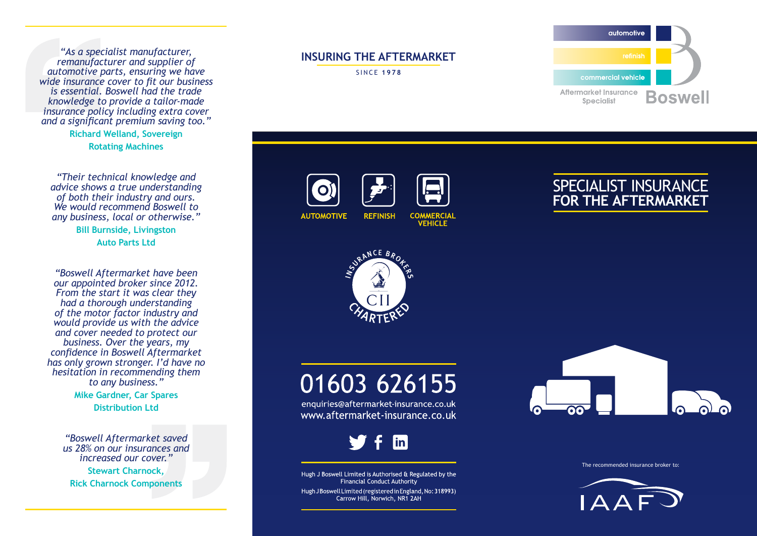*"As a specialist manufacturer, remanufacturer and supplier of automotive parts, ensuring we have wide insurance cover to fit our business is essential. Boswell had the trade knowledge to provide a tailor-made insurance policy including extra cover and a significant premium saving too."*

> **Richard Welland, Sovereign Rotating Machines**

*"Their technical knowledge and advice shows a true understanding of both their industry and ours. We would recommend Boswell to any business, local or otherwise."*

**Bill Burnside, Livingston Auto Parts Ltd**

*"Boswell Aftermarket have been our appointed broker since 2012. From the start it was clear they had a thorough understanding of the motor factor industry and would provide us with the advice and cover needed to protect our business. Over the years, my confidence in Boswell Aftermarket has only grown stronger. I'd have no hesitation in recommending them to any business."*

> **Mike Gardner, Car Spares Distribution Ltd**

*"Boswell Aftermarket saved us 28% on our insurances and increased our cover."* **Stewart Charnock, Rick Charnock Components**

### **INSURING THE AFTERMARKET**

SINCE **1978**



**AUTOMOTIVE REFINISH** 





**VEHICLE** 





# 01603 626155

enquiries@aftermarket-insurance.co.uk www.aftermarket-insurance.co.uk



Hugh J Boswell Limited is Authorised & Regulated by the Financial Conduct Authority Hugh J Boswell Limited (registered in England, No: 318993) Carrow Hill, Norwich, NR1 2AH



The recommended insurance broker to: